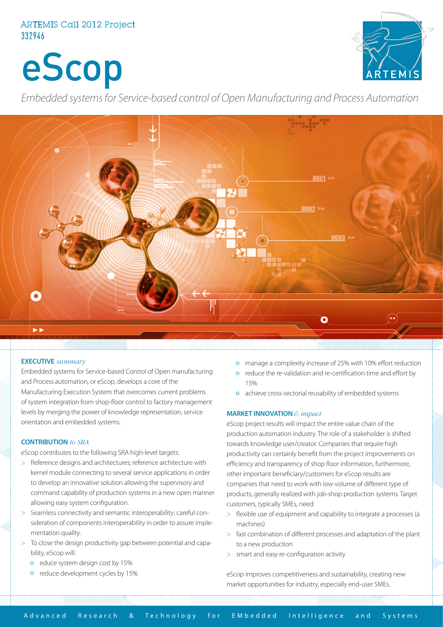# ARTEMIS Call 2012 Project 332946

eScop



*Embedded systems for Service-based control of Open Manufacturing and Process Automation*



#### **EXECUTIVE** *summary*

Embedded systems for Service-based Control of Open manufacturing and Process automation, or eScop, develops a core of the Manufacturing Execution System that overcomes current problems of system integration from shop-floor control to factory management levels by merging the power of knowledge representation, service orientation and embedded systems.

#### **CONTRIBUTION** *to SRA*

eScop contributes to the following SRA high-level targets:

- > Reference designs and architectures; reference architecture with kernel module connecting to several service applications in order to develop an innovative solution allowing the supervisory and command capability of production systems in a new open manner allowing easy system configuration.
- > Seamless connectivity and semantic interoperability; careful consideration of components interoperability in order to assure implementation quality.
- > To close the design productivity gap between potential and capability, eScop will:
	- o educe system design cost by 15%
	- reduce development cycles by 15%
- manage a complexity increase of 25% with 10% effort reduction
- reduce the re-validation and re-certification time and effort by 15%
- achieve cross-sectorial reusability of embedded systems

### **MARKET INNOVATION** *& impact*

eScop project results will impact the entire value chain of the production automation industry. The role of a stakeholder is shifted towards knowledge user/creator. Companies that require high productivity can certainly benefit from the project improvements on efficiency and transparency of shop floor information, furthermore, other important beneficiary/customers for eScop results are companies that need to work with low volume of different type of products, generally realized with job-shop production systems. Target customers, typically SMEs, need:

- > flexible use of equipment and capability to integrate a processes (a machines)
- > fast combination of different processes and adaptation of the plant to a new production
- > smart and easy re-configuration activity

eScop improves competitiveness and sustainability, creating new market opportunities for industry, especially end-user SMEs.